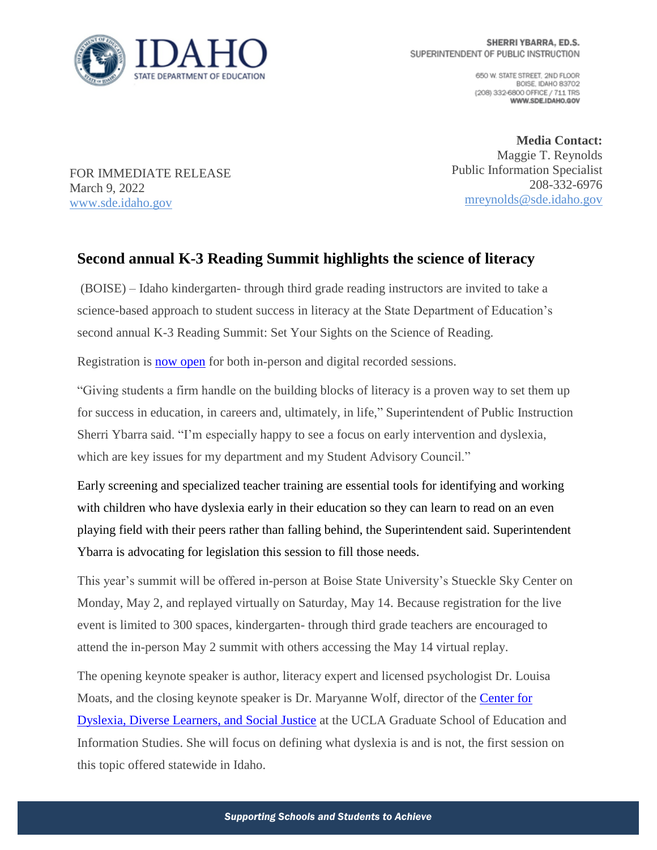

650 W. STATE STREET, 2ND FLOOR BOISE IDAHO 83702 (208) 332-6800 OFFICE / 711 TRS WWW.SDE.IDAHO.GOV

FOR IMMEDIATE RELEASE March 9, 2022 [www.sde.idaho.gov](http://www.sde.idaho.gov/)

**Media Contact:** Maggie T. Reynolds Public Information Specialist 208-332-6976 [mreynolds@sde.idaho.gov](mailto:mreynolds@sde.idaho.gov)

## **Second annual K-3 Reading Summit highlights the science of literacy**

(BOISE) – Idaho kindergarten- through third grade reading instructors are invited to take a science-based approach to student success in literacy at the State Department of Education's second annual K-3 Reading Summit: Set Your Sights on the Science of Reading.

Registration is [now open](https://form.jotform.com/220235395117148) for both in-person and digital recorded sessions.

"Giving students a firm handle on the building blocks of literacy is a proven way to set them up for success in education, in careers and, ultimately, in life," Superintendent of Public Instruction Sherri Ybarra said. "I'm especially happy to see a focus on early intervention and dyslexia, which are key issues for my department and my Student Advisory Council."

Early screening and specialized teacher training are essential tools for identifying and working with children who have dyslexia early in their education so they can learn to read on an even playing field with their peers rather than falling behind, the Superintendent said. Superintendent Ybarra is advocating for legislation this session to fill those needs.

This year's summit will be offered in-person at Boise State University's Stueckle Sky Center on Monday, May 2, and replayed virtually on Saturday, May 14. Because registration for the live event is limited to 300 spaces, kindergarten- through third grade teachers are encouraged to attend the in-person May 2 summit with others accessing the May 14 virtual replay.

The opening keynote speaker is author, literacy expert and licensed psychologist Dr. Louisa Moats, and the closing keynote speaker is Dr. Maryanne Wolf, director of the [Center for](https://www.centerfordyslexia.ucla.edu/)  [Dyslexia, Diverse Learners, and Social Justice](https://www.centerfordyslexia.ucla.edu/) at the UCLA Graduate School of Education and Information Studies. She will focus on defining what dyslexia is and is not, the first session on this topic offered statewide in Idaho.